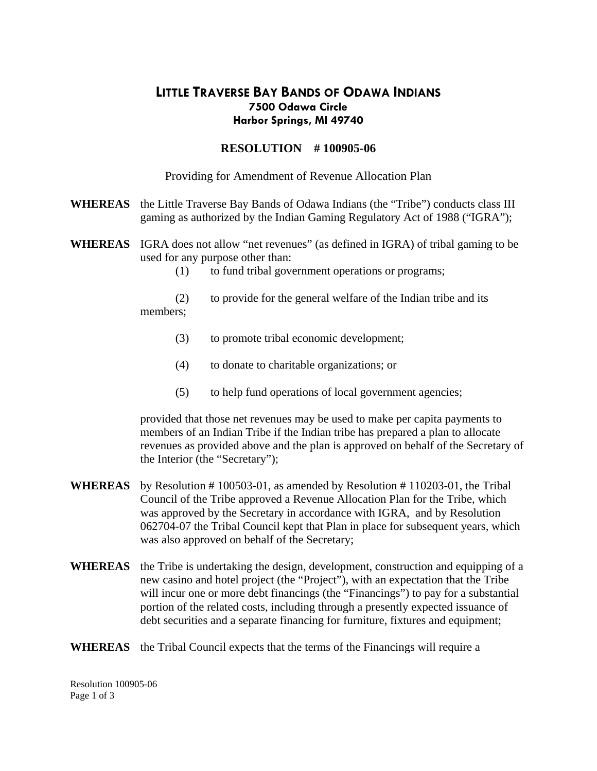# **LITTLE TRAVERSE BAY BANDS OF ODAWA INDIANS Harbor Springs, MI 49740 7500 Odawa Circle**

## **RESOLUTION # 100905-06**

Providing for Amendment of Revenue Allocation Plan

- **WHEREAS** the Little Traverse Bay Bands of Odawa Indians (the "Tribe") conducts class III gaming as authorized by the Indian Gaming Regulatory Act of 1988 ("IGRA");
- **WHEREAS** IGRA does not allow "net revenues" (as defined in IGRA) of tribal gaming to be used for any purpose other than:
	- (1) to fund tribal government operations or programs;
	- to provide for the general welfare of the Indian tribe and its members; (2)
		- (3) to promote tribal economic development;
		- (4) to donate to charitable organizations; or
		- (5) to help fund operations of local government agencies;

revenues as provided above and the plan is approved on behalf of the Secretary of the Interior (the "Secretary"); provided that those net revenues may be used to make per capita payments to members of an Indian Tribe if the Indian tribe has prepared a plan to allocate

- **WHEREAS**  062704-07 the Tribal Council kept that Plan in place for subsequent years, which was also approved on behalf of the Secretary; by Resolution # 100503-01, as amended by Resolution # 110203-01, the Tribal Council of the Tribe approved a Revenue Allocation Plan for the Tribe, which was approved by the Secretary in accordance with IGRA, and by Resolution
- **WHEREAS** the Tribe is undertaking the design, development, construction and equipping of a will incur one or more debt financings (the "Financings") to pay for a substantial debt securities and a separate financing for furniture, fixtures and equipment; new casino and hotel project (the "Project"), with an expectation that the Tribe portion of the related costs, including through a presently expected issuance of

#### WHEREAS the Tribal Council expects that the terms of the Financings will require a

Resolution 100905-06 Page 1 of 3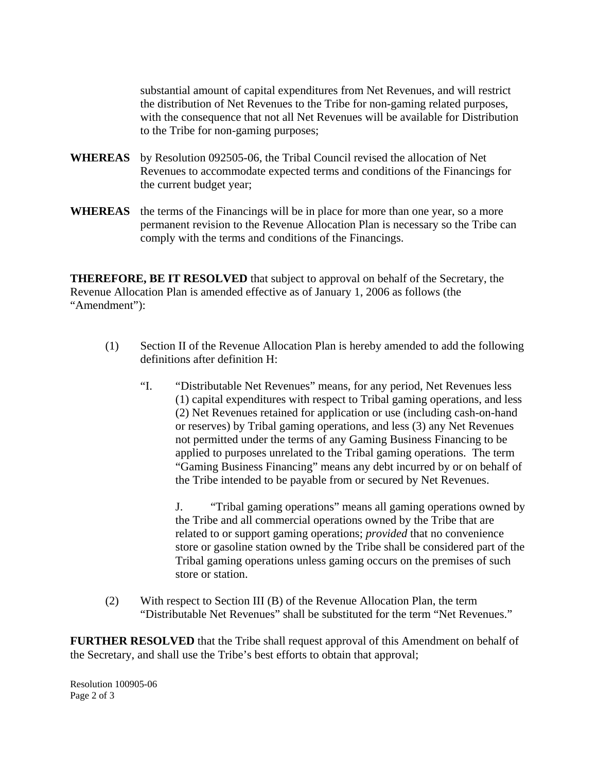the distribution of Net Revenues to the Tribe for non-gaming related purposes, with the consequence that not all Net Revenues will be available for Distribution substantial amount of capital expenditures from Net Revenues, and will restrict to the Tribe for non-gaming purposes;

- **WHEREAS** by Resolution 092505-06, the Tribal Council revised the allocation of Net Revenues to accommodate expected terms and conditions of the Financings for the current budget year;
- **WHEREAS** the terms of the Financings will be in place for more than one year, so a more permanent revision to the Revenue Allocation Plan is necessary so the Tribe can comply with the terms and conditions of the Financings.

**THEREFORE, BE IT RESOLVED** that subject to approval on behalf of the Secretary, the Revenue Allocation Plan is amended effective as of January 1, 2006 as follows (the Amendment"): "

- (1) Section II of the Revenue Allocation Plan is hereby amended to add the following definitions after definition H:
	- $\mathcal{C}$ applied to purposes unrelated to the Tribal gaming operations. The term "Gaming Business Financing" means any debt incurred by or on behalf of "Distributable Net Revenues" means, for any period, Net Revenues less (1) capital expenditures with respect to Tribal gaming operations, and less (2) Net Revenues retained for application or use (including cash-on-hand or reserves) by Tribal gaming operations, and less (3) any Net Revenues not permitted under the terms of any Gaming Business Financing to be the Tribe intended to be payable from or secured by Net Revenues.

J. "Tribal gaming operations" means all gaming operations owned by store or gasoline station owned by the Tribe shall be considered part of the Tribal gaming operations unless gaming occurs on the premises of such the Tribe and all commercial operations owned by the Tribe that are related to or support gaming operations; *provided* that no convenience store or station.

(2) With respect to Section III (B) of the Revenue Allocation Plan, the term "Distributable Net Revenues" shall be substituted for the term "Net Revenues."

**URTHER RESOLVED** that the Tribe shall request approval of this Amendment on behalf of **F** the Secretary, and shall use the Tribe's best efforts to obtain that approval;

Resolution 100905-06 Page 2 of 3